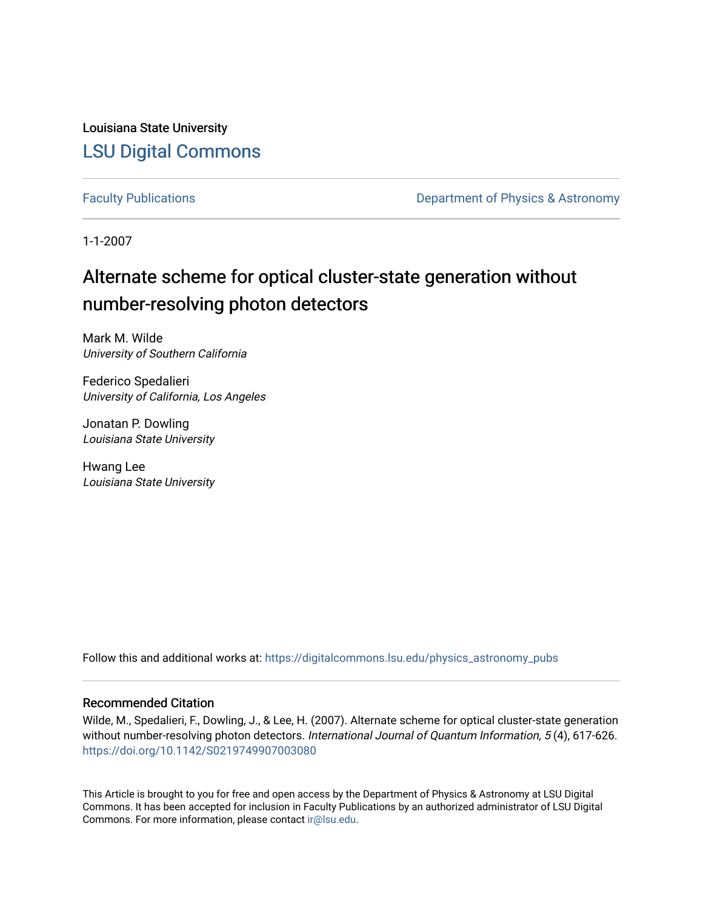Louisiana State University [LSU Digital Commons](https://digitalcommons.lsu.edu/)

[Faculty Publications](https://digitalcommons.lsu.edu/physics_astronomy_pubs) **Exercise 2 and Table 2 and Table 2 and Table 2 and Table 2 and Table 2 and Table 2 and Table 2 and Table 2 and Table 2 and Table 2 and Table 2 and Table 2 and Table 2 and Table 2 and Table 2 and Table** 

1-1-2007

# Alternate scheme for optical cluster-state generation without number-resolving photon detectors

Mark M. Wilde University of Southern California

Federico Spedalieri University of California, Los Angeles

Jonatan P. Dowling Louisiana State University

Hwang Lee Louisiana State University

Follow this and additional works at: [https://digitalcommons.lsu.edu/physics\\_astronomy\\_pubs](https://digitalcommons.lsu.edu/physics_astronomy_pubs?utm_source=digitalcommons.lsu.edu%2Fphysics_astronomy_pubs%2F3150&utm_medium=PDF&utm_campaign=PDFCoverPages) 

# Recommended Citation

Wilde, M., Spedalieri, F., Dowling, J., & Lee, H. (2007). Alternate scheme for optical cluster-state generation without number-resolving photon detectors. International Journal of Quantum Information, 5(4), 617-626. <https://doi.org/10.1142/S0219749907003080>

This Article is brought to you for free and open access by the Department of Physics & Astronomy at LSU Digital Commons. It has been accepted for inclusion in Faculty Publications by an authorized administrator of LSU Digital Commons. For more information, please contact [ir@lsu.edu](mailto:ir@lsu.edu).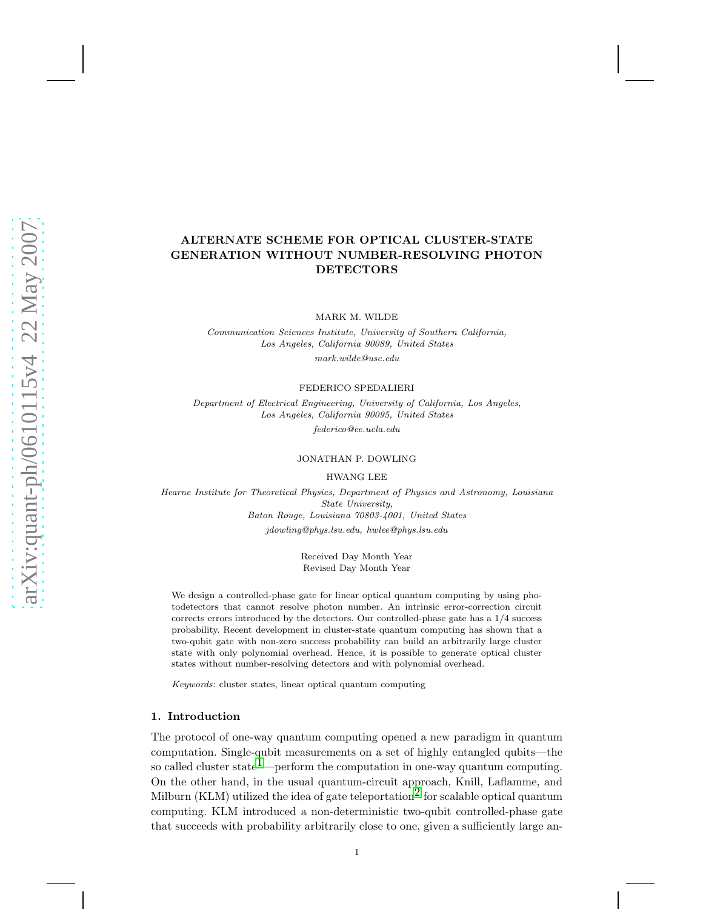# ALTERNATE SCHEME FOR OPTICAL CLUSTER-STATE GENERATION WITHOUT NUMBER-RESOLVING PHOTON DETECTORS

MARK M. WILDE

Communication Sciences Institute, University of Southern California, Los Angeles, California 90089, United States mark.wilde@usc.edu

FEDERICO SPEDALIERI

Department of Electrical Engineering, University of California, Los Angeles, Los Angeles, California 90095, United States federico@ee.ucla.edu

JONATHAN P. DOWLING

HWANG LEE

Hearne Institute for Theoretical Physics, Department of Physics and Astronomy, Louisiana State University, Baton Rouge, Louisiana 70803-4001, United States jdowling@phys.lsu.edu, hwlee@phys.lsu.edu

> Received Day Month Year Revised Day Month Year

We design a controlled-phase gate for linear optical quantum computing by using photodetectors that cannot resolve photon number. An intrinsic error-correction circuit corrects errors introduced by the detectors. Our controlled-phase gate has a 1/4 success probability. Recent development in cluster-state quantum computing has shown that a two-qubit gate with non-zero success probability can build an arbitrarily large cluster state with only polynomial overhead. Hence, it is possible to generate optical cluster states without number-resolving detectors and with polynomial overhead.

Keywords: cluster states, linear optical quantum computing

# 1. Introduction

The protocol of one-way quantum computing opened a new paradigm in quantum computation. Single-qubit measurements on a set of highly entangled qubits—the so called cluster state<sup>1</sup>—perform the computation in one-way quantum computing. On the other hand, in the usual quantum-circuit approach, Knill, Laflamme, and Milburn (KLM) utilized the idea of gate teleportation<sup>2</sup> for scalable optical quantum computing. KLM introduced a non-deterministic two-qubit controlled-phase gate that succeeds with probability arbitrarily close to one, given a sufficiently large an-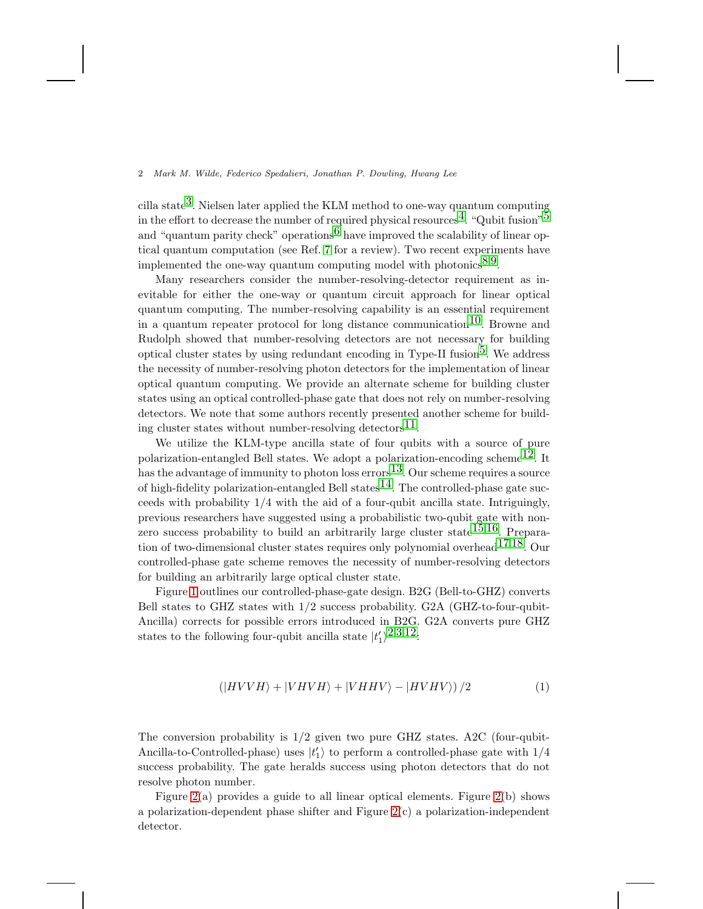cilla state<sup>3</sup>. Nielsen later applied the KLM method to one-way quantum computing in the effort to decrease the number of required physical resources<sup>4</sup>. "Qubit fusion"<sup>5</sup> and "quantum parity check" operations<sup>[6](#page-10-5)</sup> have improved the scalability of linear optical quantum computation (see Ref. [7](#page-10-6) for a review). Two recent experiments have implemented the one-way quantum computing model with photonics<sup>[8](#page-10-7),9</sup>.

Many researchers consider the number-resolving-detector requirement as inevitable for either the one-way or quantum circuit approach for linear optical quantum computing. The number-resolving capability is an essential requirement in a quantum repeater protocol for long distance communication<sup>10</sup>. Browne and Rudolph showed that number-resolving detectors are not necessary for building optical cluster states by using redundant encoding in Type-II fusion<sup>5</sup>. We address the necessity of number-resolving photon detectors for the implementation of linear optical quantum computing. We provide an alternate scheme for building cluster states using an optical controlled-phase gate that does not rely on number-resolving detectors. We note that some authors recently presented another scheme for building cluster states without number-resolving detectors<sup>11</sup>.

We utilize the KLM-type ancilla state of four qubits with a source of pure polarization-entangled Bell states. We adopt a polarization-encoding scheme<sup>12</sup>. It has the advantage of immunity to photon loss errors<sup>13</sup>. Our scheme requires a source of high-fidelity polarization-entangled Bell states  $14$ . The controlled-phase gate succeeds with probability 1/4 with the aid of a four-qubit ancilla state. Intriguingly, previous researchers have suggested using a probabilistic two-qubit gate with non-zero success probability to build an arbitrarily large cluster state<sup>[15](#page-10-14),16</sup>. Preparation of two-dimensional cluster states requires only polynomial overhead  $17,18$ . Our controlled-phase gate scheme removes the necessity of number-resolving detectors for building an arbitrarily large optical cluster state.

Figure [1](#page-3-0) outlines our controlled-phase-gate design. B2G (Bell-to-GHZ) converts Bell states to GHZ states with 1/2 success probability. G2A (GHZ-to-four-qubit-Ancilla) corrects for possible errors introduced in B2G. G2A converts pure GHZ states to the following four-qubit ancilla state  $|t_1'\rangle^{2,3,12}$  $|t_1'\rangle^{2,3,12}$  $|t_1'\rangle^{2,3,12}$  $|t_1'\rangle^{2,3,12}$  $|t_1'\rangle^{2,3,12}$ .

$$
\left(\left|HVVH\right\rangle + \left|VHVH\right\rangle + \left|VHHV\right\rangle - \left|HVHV\right\rangle\right)/2\tag{1}
$$

The conversion probability is  $1/2$  given two pure GHZ states. A2C (four-qubit-Ancilla-to-Controlled-phase) uses  $|t'_1\rangle$  to perform a controlled-phase gate with  $1/4$ success probability. The gate heralds success using photon detectors that do not resolve photon number.

Figure [2\(](#page-4-0)a) provides a guide to all linear optical elements. Figure 2(b) shows a polarization-dependent phase shifter and Figure  $2(c)$  a polarization-independent detector.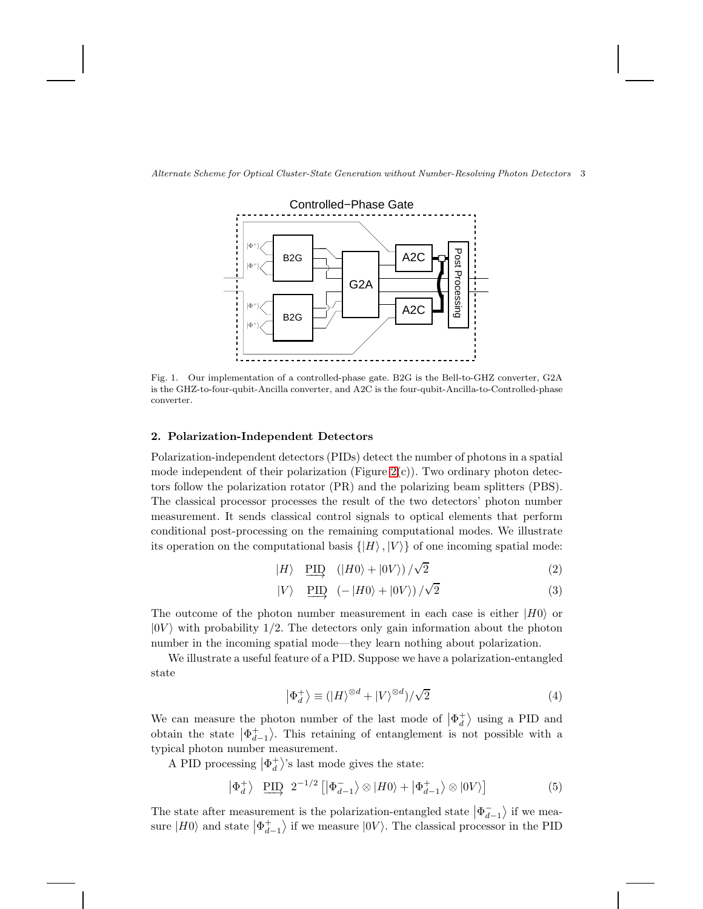

Alternate Scheme for Optical Cluster-State Generation without Number-Resolving Photon Detectors 3

<span id="page-3-0"></span>Fig. 1. Our implementation of a controlled-phase gate. B2G is the Bell-to-GHZ converter, G2A is the GHZ-to-four-qubit-Ancilla converter, and A2C is the four-qubit-Ancilla-to-Controlled-phase converter.

# 2. Polarization-Independent Detectors

Polarization-independent detectors (PIDs) detect the number of photons in a spatial mode independent of their polarization (Figure  $2(c)$ ). Two ordinary photon detectors follow the polarization rotator (PR) and the polarizing beam splitters (PBS). The classical processor processes the result of the two detectors' photon number measurement. It sends classical control signals to optical elements that perform conditional post-processing on the remaining computational modes. We illustrate its operation on the computational basis  $\{|H\rangle, |V\rangle\}$  of one incoming spatial mode:

$$
|H\rangle \quad \underline{\text{PID}} \quad (|H0\rangle + |0V\rangle) / \sqrt{2} \tag{2}
$$

$$
|V\rangle \quad \underline{\text{PID}} \quad (-|H0\rangle + |0V\rangle) / \sqrt{2} \tag{3}
$$

The outcome of the photon number measurement in each case is either  $|H0\rangle$  or  $|0V\rangle$  with probability 1/2. The detectors only gain information about the photon number in the incoming spatial mode—they learn nothing about polarization.

We illustrate a useful feature of a PID. Suppose we have a polarization-entangled state

$$
\left|\Phi_d^+\right\rangle \equiv (|H\rangle^{\otimes d} + |V\rangle^{\otimes d})/\sqrt{2}
$$
 (4)

We can measure the photon number of the last mode of  $\left|\Phi_d^+\right|$  $\binom{+}{d}$  using a PID and obtain the state  $|\Phi_{d-1}^+\rangle$ . This retaining of entanglement is not possible with a typical photon number measurement.

A PID processing  $|\Phi_d^+$  $\binom{+}{d}$ 's last mode gives the state:

$$
\left|\Phi_d^+\right\rangle \xrightarrow{\text{PID}} 2^{-1/2} \left[ \left|\Phi_{d-1}^-\right\rangle \otimes \left|H0\right\rangle + \left|\Phi_{d-1}^+\right\rangle \otimes \left|0V\right\rangle \right] \tag{5}
$$

The state after measurement is the polarization-entangled state  $|\Phi_{d-1}^-\rangle$  if we mea-<br>it will be defined as the polarization of the state  $|\Phi_{d-1}^-\rangle$ sure  $|H0\rangle$  and state  $|\Phi^+_{d-1}\rangle$  if we measure  $|0V\rangle$ . The classical processor in the PID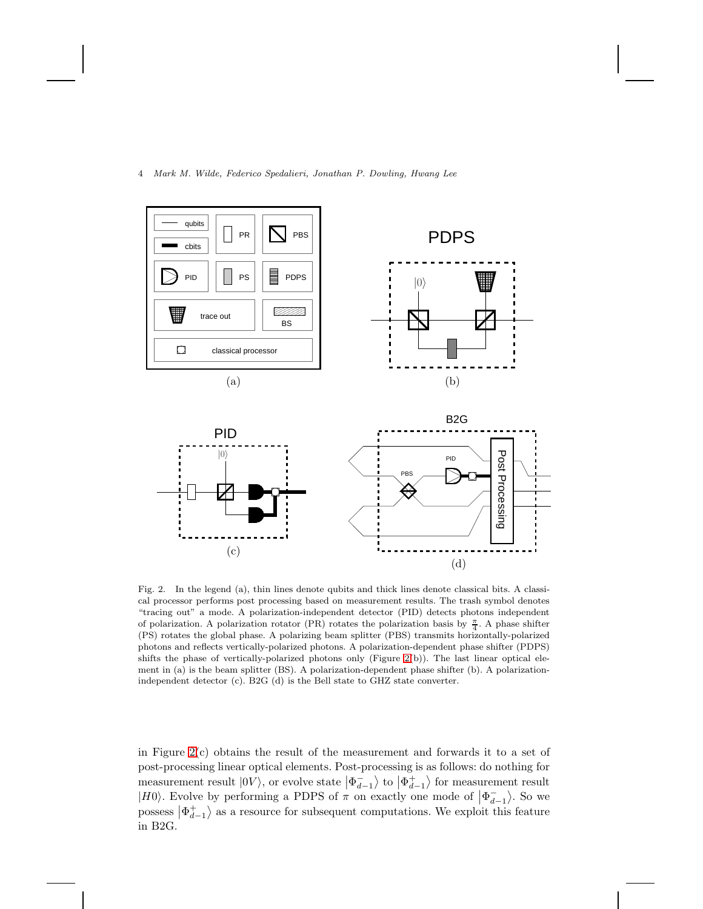

<span id="page-4-0"></span>Fig. 2. In the legend (a), thin lines denote qubits and thick lines denote classical bits. A classical processor performs post processing based on measurement results. The trash symbol denotes "tracing out" a mode. A polarization-independent detector (PID) detects photons independent of polarization. A polarization rotator (PR) rotates the polarization basis by  $\frac{\pi}{4}$ . A phase shifter (PS) rotates the global phase. A polarizing beam splitter (PBS) transmits horizontally-polarized photons and reflects vertically-polarized photons. A polarization-dependent phase shifter (PDPS) shifts the phase of vertically-polarized photons only (Figure [2\(](#page-4-0)b)). The last linear optical element in (a) is the beam splitter (BS). A polarization-dependent phase shifter (b). A polarizationindependent detector (c). B2G (d) is the Bell state to GHZ state converter.

in Figure  $2(c)$  obtains the result of the measurement and forwards it to a set of post-processing linear optical elements. Post-processing is as follows: do nothing for measurement result  $|0V\rangle$ , or evolve state  $|\Phi_{d-1}^+\rangle$  to  $|\Phi_{d-1}^+\rangle$  for measurement result  $|H0\rangle$ . Evolve by performing a PDPS of  $\pi$  on exactly one mode of  $|\Phi_{d-1}^{-}\rangle$ . So we possess  $|\Phi_{d-1}^{+}\rangle$  as a resource for subsequent computations. We exploit this feature in B2G.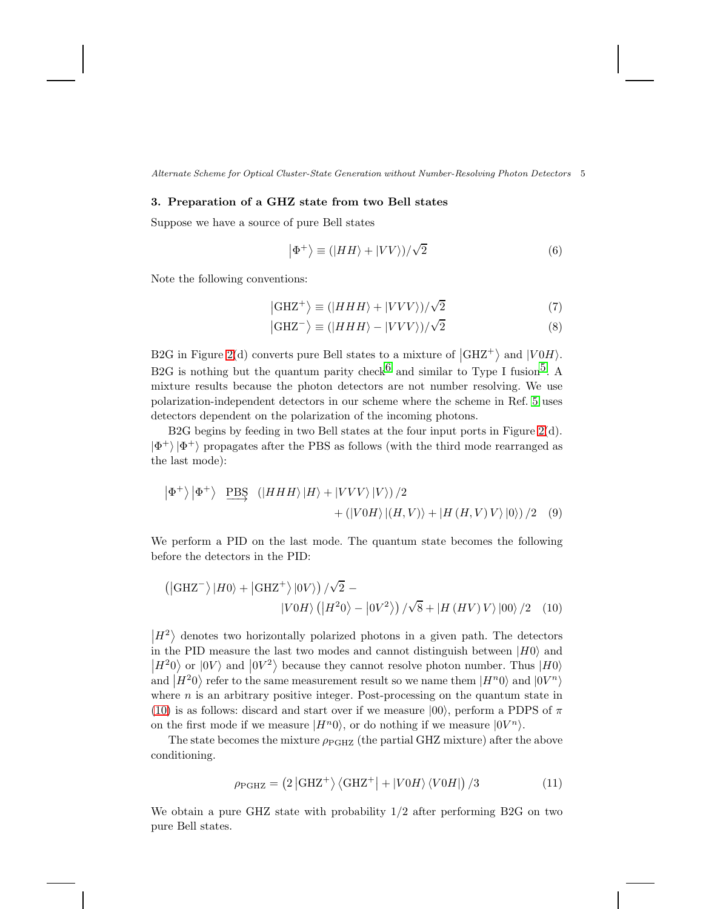Alternate Scheme for Optical Cluster-State Generation without Number-Resolving Photon Detectors 5

# 3. Preparation of a GHZ state from two Bell states

Suppose we have a source of pure Bell states

$$
|\Phi^{+}\rangle \equiv (|HH\rangle + |VV\rangle)/\sqrt{2}
$$
 (6)

Note the following conventions:

$$
|\text{GHZ}^{+}\rangle \equiv (|HHH\rangle + |VVV\rangle)/\sqrt{2}
$$
 (7)

$$
|\text{GHZ}^{-}\rangle \equiv (|HHH\rangle - |VVV\rangle)/\sqrt{2}
$$
 (8)

B2G in Figure [2\(](#page-4-0)d) converts pure Bell states to a mixture of  $|GHZ^+\rangle$  and  $|V0H\rangle$ . B2G is nothing but the quantum parity check  $6$  and similar to Type I fusion<sup>5</sup>. A mixture results because the photon detectors are not number resolving. We use polarization-independent detectors in our scheme where the scheme in Ref. [5](#page-10-4) uses detectors dependent on the polarization of the incoming photons.

B2G begins by feeding in two Bell states at the four input ports in Figure [2\(](#page-4-0)d).  $|\Phi^+\rangle\,|\Phi^+\rangle$  propagates after the PBS as follows (with the third mode rearranged as the last mode):

$$
\left|\Phi^{+}\right\rangle\left|\Phi^{+}\right\rangle \quad \underline{\text{PBS}} \quad (\left|HHH\right\rangle\left|H\right\rangle + \left|VVV\right\rangle\left|V\right\rangle) / 2 + \left(\left|V0H\right\rangle\left|\left(H,V\right)\right\rangle + \left|H\left(H,V\right)V\right\rangle\left|0\right\rangle\right) / 2 \quad (9)
$$

We perform a PID on the last mode. The quantum state becomes the following before the detectors in the PID:

$$
(|GHZ^{-}\rangle|H0\rangle + |GHZ^{+}\rangle|0V\rangle)/\sqrt{2} - |V0H\rangle (|H^{2}0\rangle - |0V^{2}\rangle)/\sqrt{8} + |H(HV)V\rangle|00\rangle/2 \quad (10)
$$

 $\ket{H^2}$  denotes two horizontally polarized photons in a given path. The detectors in the PID measure the last two modes and cannot distinguish between  $|H0\rangle$  and  $|H^20\rangle$  or  $|0V\rangle$  and  $|0V^2\rangle$  because they cannot resolve photon number. Thus  $|H0\rangle$ and  $|H^20\rangle$  refer to the same measurement result so we name them  $|H^n0\rangle$  and  $|0V^n\rangle$ where  $n$  is an arbitrary positive integer. Post-processing on the quantum state in [\(10\)](#page-5-0) is as follows: discard and start over if we measure  $|00\rangle$ , perform a PDPS of  $\pi$ on the first mode if we measure  $|H^n 0\rangle$ , or do nothing if we measure  $|0V^n\rangle$ .

The state becomes the mixture  $\rho_{\rm PGHZ}$  (the partial GHZ mixture) after the above conditioning.

<span id="page-5-1"></span><span id="page-5-0"></span>
$$
\rho_{\rm PGHZ} = \left(2 \left| \rm GHZ^+ \right\rangle \left\langle \rm GHZ^+ \right| + \left| V0H \right\rangle \left\langle V0H \right| \right) /3 \tag{11}
$$

We obtain a pure GHZ state with probability  $1/2$  after performing B2G on two pure Bell states.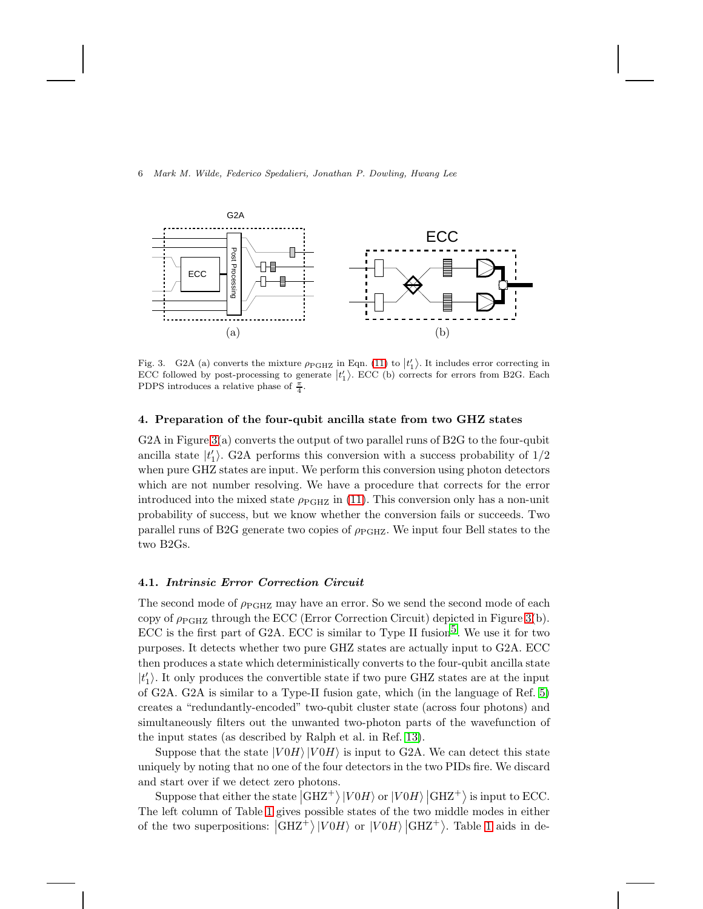

<span id="page-6-0"></span>Fig. 3. G2A (a) converts the mixture  $\rho_{\text{PGHZ}}$  in Eqn. [\(11\)](#page-5-1) to  $|t_1\rangle$ . It includes error correcting in ECC followed by post-processing to generate  $|t'_1\rangle$ . ECC (b) corrects for errors from B2G. Each PDPS introduces a relative phase of  $\frac{\pi}{4}$ .

# 4. Preparation of the four-qubit ancilla state from two GHZ states

G2A in Figure [3\(](#page-6-0)a) converts the output of two parallel runs of B2G to the four-qubit ancilla state  $|t'_1\rangle$ . G2A performs this conversion with a success probability of  $1/2$ when pure GHZ states are input. We perform this conversion using photon detectors which are not number resolving. We have a procedure that corrects for the error introduced into the mixed state  $\rho_{PGHZ}$  in [\(11\)](#page-5-1). This conversion only has a non-unit probability of success, but we know whether the conversion fails or succeeds. Two parallel runs of B2G generate two copies of  $\rho_{PGHZ}$ . We input four Bell states to the two B2Gs.

# 4.1. Intrinsic Error Correction Circuit

The second mode of  $\rho_{\rm{PGHZ}}$  may have an error. So we send the second mode of each copy of  $\rho_{\rm PGHZ}$  through the ECC (Error Correction Circuit) depicted in Figure [3\(](#page-6-0)b). ECC is the first part of G2A. ECC is similar to Type II fusion<sup>5</sup>. We use it for two purposes. It detects whether two pure GHZ states are actually input to G2A. ECC then produces a state which deterministically converts to the four-qubit ancilla state  $|t_1'\rangle.$  It only produces the convertible state if two pure GHZ states are at the input of G2A. G2A is similar to a Type-II fusion gate, which (in the language of Ref. [5\)](#page-10-4) creates a "redundantly-encoded" two-qubit cluster state (across four photons) and simultaneously filters out the unwanted two-photon parts of the wavefunction of the input states (as described by Ralph et al. in Ref. [13\)](#page-10-12).

Suppose that the state  $|V \cup H\rangle |V \cup H\rangle$  is input to G2A. We can detect this state uniquely by noting that no one of the four detectors in the two PIDs fire. We discard and start over if we detect zero photons.

Suppose that either the state  $|GHZ^+\rangle |V0H\rangle$  or  $|V0H\rangle |GHZ^+\rangle$  is input to ECC. The left column of Table [1](#page-7-0) gives possible states of the two middle modes in either of the two superpositions:  $|GHZ^+\rangle |V0H\rangle$  or  $|V0H\rangle |GHZ^+\rangle$ . Table [1](#page-7-0) aids in de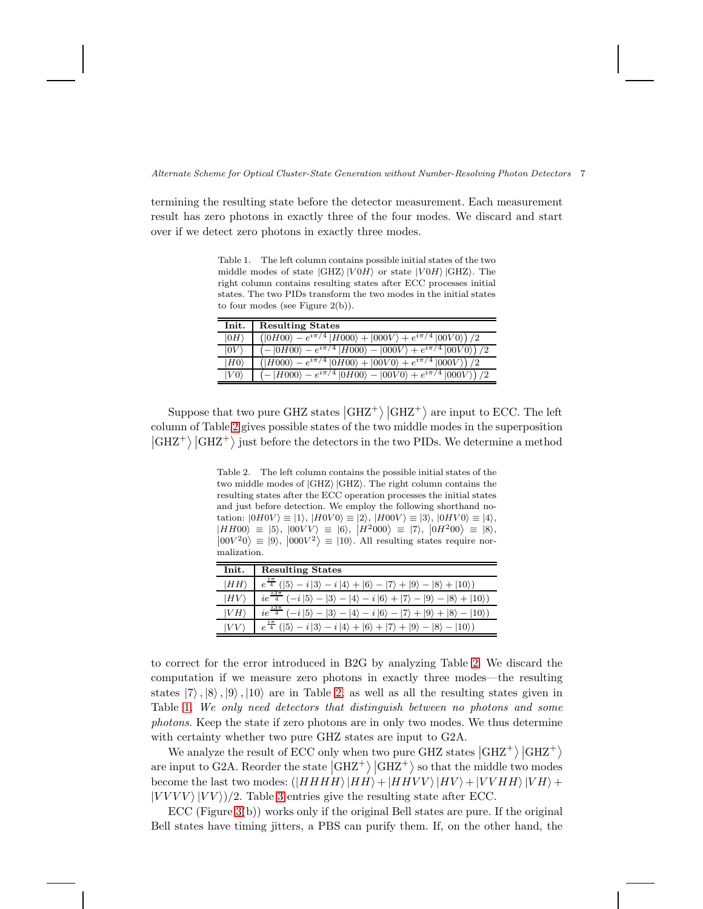Alternate Scheme for Optical Cluster-State Generation without Number-Resolving Photon Detectors 7

termining the resulting state before the detector measurement. Each measurement result has zero photons in exactly three of the four modes. We discard and start over if we detect zero photons in exactly three modes.

<span id="page-7-0"></span>Table 1. The left column contains possible initial states of the two middle modes of state  $|GHZ\rangle |V0H\rangle$  or state  $|V0H\rangle |GHZ\rangle$ . The right column contains resulting states after ECC processes initial states. The two PIDs transform the two modes in the initial states to four modes (see Figure 2(b)).

| Init.        | <b>Resulting States</b>                                                               |
|--------------|---------------------------------------------------------------------------------------|
| $ 0H\rangle$ | $\sqrt{(0H00) - e^{i\pi/4}  H000\rangle +  000V\rangle + e^{i\pi/4}  00V0\rangle)/2}$ |
| $ 0V\rangle$ | $(- 0H00\rangle - e^{i\pi/4} H000\rangle -  000V\rangle + e^{i\pi/4} 00V0\rangle)/2$  |
| $ H0\rangle$ | $\sqrt{(H000) - e^{i\pi/4}  0H00\rangle +  00V0\rangle + e^{i\pi/4}  000V\rangle)/2}$ |
| $ V0\rangle$ | $- H000\rangle - e^{i\pi/4} 0H00\rangle -  00V0\rangle + e^{i\pi/4} 000V\rangle$      |

Suppose that two pure GHZ states  $|GHZ^+\rangle |GHZ^+\rangle$  are input to ECC. The left column of Table [2](#page-7-1) gives possible states of the two middle modes in the superposition  $\left|\text{GHZ}^+\right\rangle \left|\text{GHZ}^+\right\rangle$  just before the detectors in the two PIDs. We determine a method

> <span id="page-7-1"></span>Table 2. The left column contains the possible initial states of the two middle modes of  $|GHZ\rangle |GHZ\rangle$ . The right column contains the resulting states after the ECC operation processes the initial states and just before detection. We employ the following shorthand notation:  $|0H0V\rangle \equiv |1\rangle$ ,  $|H0V0\rangle \equiv |2\rangle$ ,  $|H00V\rangle \equiv |3\rangle$ ,  $|0HV0\rangle \equiv |4\rangle$ ,  $|HH00\rangle = |5\rangle, |00VV\rangle = |6\rangle, |H^2000\rangle = |7\rangle, |0H^200\rangle = |8\rangle,$  $|00V^20\rangle \equiv |9\rangle$ ,  $|000V^2\rangle \equiv |10\rangle$ . All resulting states require normalization.

| Init. | <b>Resulting States</b>                                                                                                                                        |
|-------|----------------------------------------------------------------------------------------------------------------------------------------------------------------|
| HH    | $e^{\frac{i\pi}{4}}$ ( 5) – <i>i</i>  3) – <i>i</i>  4) +  6) –  7) +  9) –  8) +  10))                                                                        |
| HV    | $23\pi$<br>$\langle -i   5 \rangle -   3 \rangle -   4 \rangle - i   6 \rangle +   7 \rangle -   9 \rangle -   8 \rangle +   10 \rangle$<br>$ie^{\frac{1}{4}}$ |
| V H   | $ie^{\frac{i3\pi}{4}}$<br>$\langle -i 5\rangle -  3\rangle -  4\rangle - i 6\rangle -  7\rangle +  9\rangle +  8\rangle -  10\rangle$                          |
| VV    | $( 5\rangle - i 3\rangle - i 4\rangle +  6\rangle +  7\rangle +  9\rangle -  8\rangle -  10\rangle)$                                                           |

to correct for the error introduced in B2G by analyzing Table [2.](#page-7-1) We discard the computation if we measure zero photons in exactly three modes—the resulting states  $|7\rangle, |8\rangle, |9\rangle, |10\rangle$  are in Table [2,](#page-7-1) as well as all the resulting states given in Table [1.](#page-7-0) We only need detectors that distinguish between no photons and some photons. Keep the state if zero photons are in only two modes. We thus determine with certainty whether two pure GHZ states are input to G2A.

We analyze the result of ECC only when two pure GHZ states  $|GHZ^+\rangle |GHZ^+\rangle$ are input to G2A. Reorder the state  $\left|\text{GHZ}^+\right\rangle$   $\left|\text{GHZ}^+\right\rangle$  so that the middle two modes become the last two modes:  $(|HHHH\rangle|HH\rangle + |HHVV\rangle|HV\rangle + |VVHH\rangle|VH\rangle +$  $|VVVV\rangle |VV\rangle/2$ . Table [3](#page-8-0) entries give the resulting state after ECC.

ECC (Figure [3\(](#page-6-0)b)) works only if the original Bell states are pure. If the original Bell states have timing jitters, a PBS can purify them. If, on the other hand, the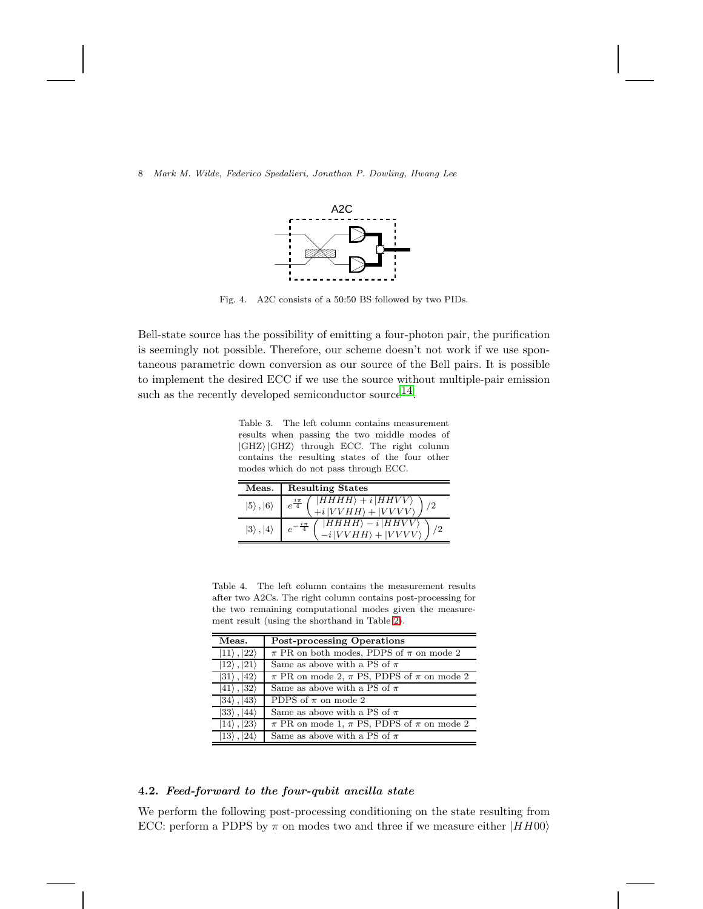

<span id="page-8-1"></span>Fig. 4. A2C consists of a 50:50 BS followed by two PIDs.

Bell-state source has the possibility of emitting a four-photon pair, the purification is seemingly not possible. Therefore, our scheme doesn't not work if we use spontaneous parametric down conversion as our source of the Bell pairs. It is possible to implement the desired ECC if we use the source without multiple-pair emission such as the recently developed semiconductor source  $^{14}$ .

<span id="page-8-0"></span>Table 3. The left column contains measurement results when passing the two middle modes of  $|GHZ\rangle |GHZ\rangle$  through ECC. The right column contains the resulting states of the four other modes which do not pass through ECC.

| Meas.                     | <b>Resulting States</b>                                                                       |
|---------------------------|-----------------------------------------------------------------------------------------------|
| $ 5\rangle$ , $ 6\rangle$ | $ HHHH\rangle + i  HHVV\rangle$<br>+i $ VVHH\rangle +  VVVV\rangle$<br>$e^{\frac{i\pi}{4}}$   |
| $ 3\rangle$ , $ 4\rangle$ | $ HHHH\rangle - i  HHVV\rangle$<br>/ つ<br>$e^{-\frac{1}{4}}$<br>$ VVHH\rangle +  VVVV\rangle$ |

<span id="page-8-2"></span>Table 4. The left column contains the measurement results after two A2Cs. The right column contains post-processing for the two remaining computational modes given the measurement result (using the shorthand in Table [2\)](#page-7-1).

| Meas.                       | <b>Post-processing Operations</b>                     |
|-----------------------------|-------------------------------------------------------|
| $ 11\rangle$ , $ 22\rangle$ | $\pi$ PR on both modes, PDPS of $\pi$ on mode 2       |
| $ 12\rangle$ , $ 21\rangle$ | Same as above with a PS of $\pi$                      |
| $ 31\rangle$ , $ 42\rangle$ | $\pi$ PR on mode 2, $\pi$ PS, PDPS of $\pi$ on mode 2 |
| $ 41\rangle$ , $ 32\rangle$ | Same as above with a PS of $\pi$                      |
| $ 34\rangle$ , $ 43\rangle$ | PDPS of $\pi$ on mode 2                               |
| $ 33\rangle$ , $ 44\rangle$ | Same as above with a PS of $\pi$                      |
| $ 14\rangle$ , $ 23\rangle$ | $\pi$ PR on mode 1, $\pi$ PS, PDPS of $\pi$ on mode 2 |
| $ 13\rangle$ , $ 24\rangle$ | Same as above with a PS of $\pi$                      |

# 4.2. Feed-forward to the four-qubit ancilla state

We perform the following post-processing conditioning on the state resulting from ECC: perform a PDPS by  $\pi$  on modes two and three if we measure either  $|HH00\rangle$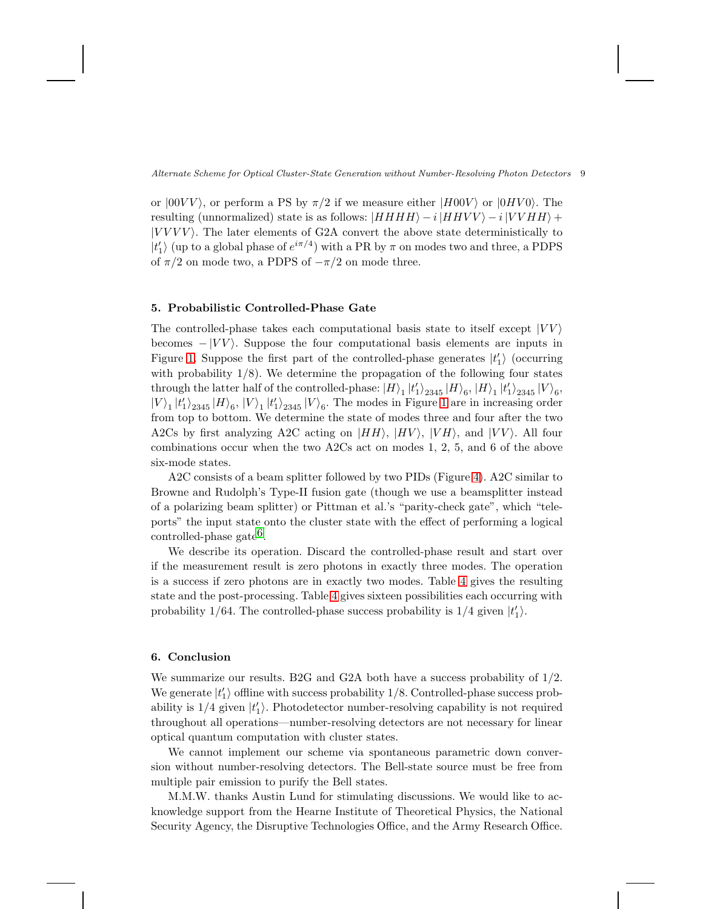Alternate Scheme for Optical Cluster-State Generation without Number-Resolving Photon Detectors 9

or  $|00VV\rangle$ , or perform a PS by  $\pi/2$  if we measure either  $|H00V\rangle$  or  $|0HV0\rangle$ . The resulting (unnormalized) state is as follows:  $|HHHH\rangle - i|HHVV\rangle - i|VVHH\rangle +$  $|VVVV\rangle$ . The later elements of G2A convert the above state deterministically to  $|t'_1\rangle$  (up to a global phase of  $e^{i\pi/4})$  with a PR by  $\pi$  on modes two and three, a PDPS of  $\pi/2$  on mode two, a PDPS of  $-\pi/2$  on mode three.

# 5. Probabilistic Controlled-Phase Gate

The controlled-phase takes each computational basis state to itself except  $|VV\rangle$ becomes  $-|VV\rangle$ . Suppose the four computational basis elements are inputs in Figure [1.](#page-3-0) Suppose the first part of the controlled-phase generates  $|t'_1\rangle$  (occurring with probability  $1/8$ ). We determine the propagation of the following four states through the latter half of the controlled-phase:  $|H\rangle_1\ket{t_1'}_{2345}\ket{H}_6,$   $|H\rangle_1\ket{t_1'}_{2345}\ket{V}_6,$  $|V\rangle_1|t_1'\rangle_{2345}|V\rangle_6,|V\rangle_1|t_1'\rangle_{2345}|V\rangle_6.$  The modes in Figure [1](#page-3-0) are in increasing order from top to bottom. We determine the state of modes three and four after the two A2Cs by first analyzing A2C acting on  $|HH\rangle$ ,  $|HV\rangle$ ,  $|VH\rangle$ , and  $|VV\rangle$ . All four combinations occur when the two A2Cs act on modes 1, 2, 5, and 6 of the above six-mode states.

A2C consists of a beam splitter followed by two PIDs (Figure [4\)](#page-8-1). A2C similar to Browne and Rudolph's Type-II fusion gate (though we use a beamsplitter instead of a polarizing beam splitter) or Pittman et al.'s "parity-check gate", which "teleports" the input state onto the cluster state with the effect of performing a logical controlled-phase gate<sup>6</sup>.

We describe its operation. Discard the controlled-phase result and start over if the measurement result is zero photons in exactly three modes. The operation is a success if zero photons are in exactly two modes. Table [4](#page-8-2) gives the resulting state and the post-processing. Table [4](#page-8-2) gives sixteen possibilities each occurring with probability 1/64. The controlled-phase success probability is  $1/4$  given  $|t'_1\rangle$ .

# 6. Conclusion

We summarize our results. B2G and G2A both have a success probability of 1/2. We generate  $|t'_1\rangle$  offline with success probability 1/8. Controlled-phase success probability is  $1/4$  given  $|t'_1\rangle$ . Photodetector number-resolving capability is not required throughout all operations—number-resolving detectors are not necessary for linear optical quantum computation with cluster states.

We cannot implement our scheme via spontaneous parametric down conversion without number-resolving detectors. The Bell-state source must be free from multiple pair emission to purify the Bell states.

M.M.W. thanks Austin Lund for stimulating discussions. We would like to acknowledge support from the Hearne Institute of Theoretical Physics, the National Security Agency, the Disruptive Technologies Office, and the Army Research Office.